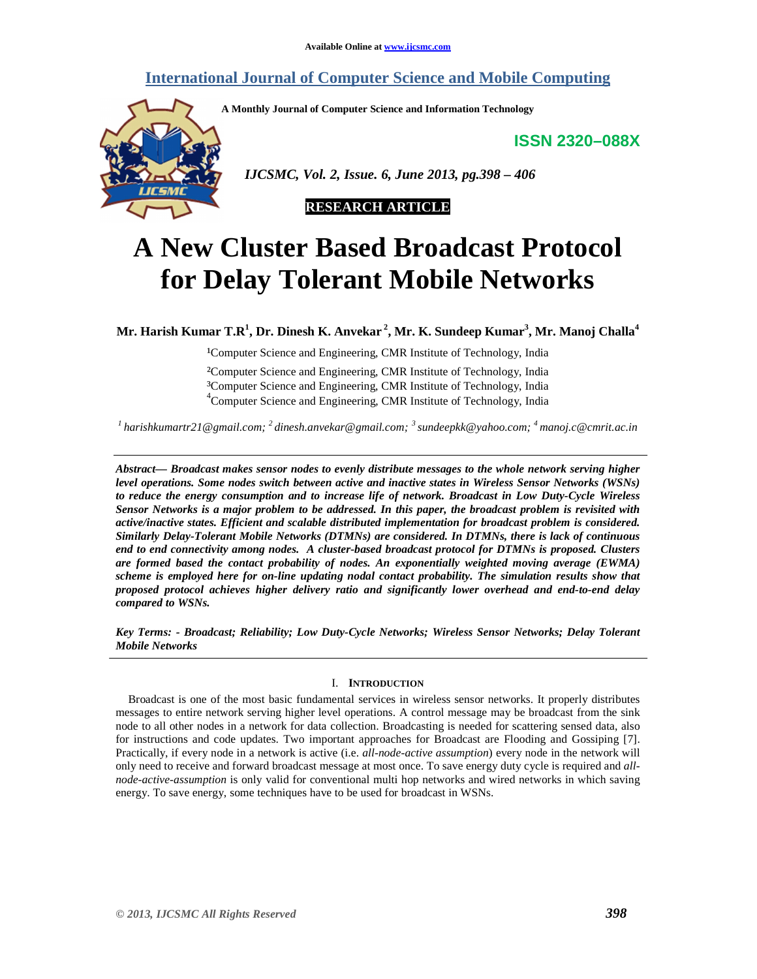# **International Journal of Computer Science and Mobile Computing**

**A Monthly Journal of Computer Science and Information Technology** 

**ISSN 2320–088X**



 *IJCSMC, Vol. 2, Issue. 6, June 2013, pg.398 – 406* 



# **A New Cluster Based Broadcast Protocol for Delay Tolerant Mobile Networks**

**Mr. Harish Kumar T.R<sup>1</sup> , Dr. Dinesh K. Anvekar<sup>2</sup>, Mr. K. Sundeep Kumar<sup>3</sup> , Mr. Manoj Challa<sup>4</sup>**

<sup>1</sup>Computer Science and Engineering, CMR Institute of Technology, India

²Computer Science and Engineering, CMR Institute of Technology, India <sup>3</sup>Computer Science and Engineering, CMR Institute of Technology, India 4 Computer Science and Engineering, CMR Institute of Technology, India

*<sup>1</sup>harishkumartr21@gmail.com; <sup>2</sup>dinesh.anvekar@gmail.com; <sup>3</sup>sundeepkk@yahoo.com; <sup>4</sup>manoj.c@cmrit.ac.in*

*Abstract— Broadcast makes sensor nodes to evenly distribute messages to the whole network serving higher level operations. Some nodes switch between active and inactive states in Wireless Sensor Networks (WSNs) to reduce the energy consumption and to increase life of network. Broadcast in Low Duty-Cycle Wireless Sensor Networks is a major problem to be addressed. In this paper, the broadcast problem is revisited with active/inactive states. Efficient and scalable distributed implementation for broadcast problem is considered. Similarly Delay-Tolerant Mobile Networks (DTMNs) are considered. In DTMNs, there is lack of continuous end to end connectivity among nodes. A cluster-based broadcast protocol for DTMNs is proposed. Clusters are formed based the contact probability of nodes. An exponentially weighted moving average (EWMA) scheme is employed here for on-line updating nodal contact probability. The simulation results show that proposed protocol achieves higher delivery ratio and significantly lower overhead and end-to-end delay compared to WSNs.* 

*Key Terms: - Broadcast; Reliability; Low Duty-Cycle Networks; Wireless Sensor Networks; Delay Tolerant Mobile Networks* 

# I. **INTRODUCTION**

Broadcast is one of the most basic fundamental services in wireless sensor networks. It properly distributes messages to entire network serving higher level operations. A control message may be broadcast from the sink node to all other nodes in a network for data collection. Broadcasting is needed for scattering sensed data, also for instructions and code updates. Two important approaches for Broadcast are Flooding and Gossiping [7]. Practically, if every node in a network is active (i.e. *all-node-active assumption*) every node in the network will only need to receive and forward broadcast message at most once. To save energy duty cycle is required and *allnode-active-assumption* is only valid for conventional multi hop networks and wired networks in which saving energy. To save energy, some techniques have to be used for broadcast in WSNs.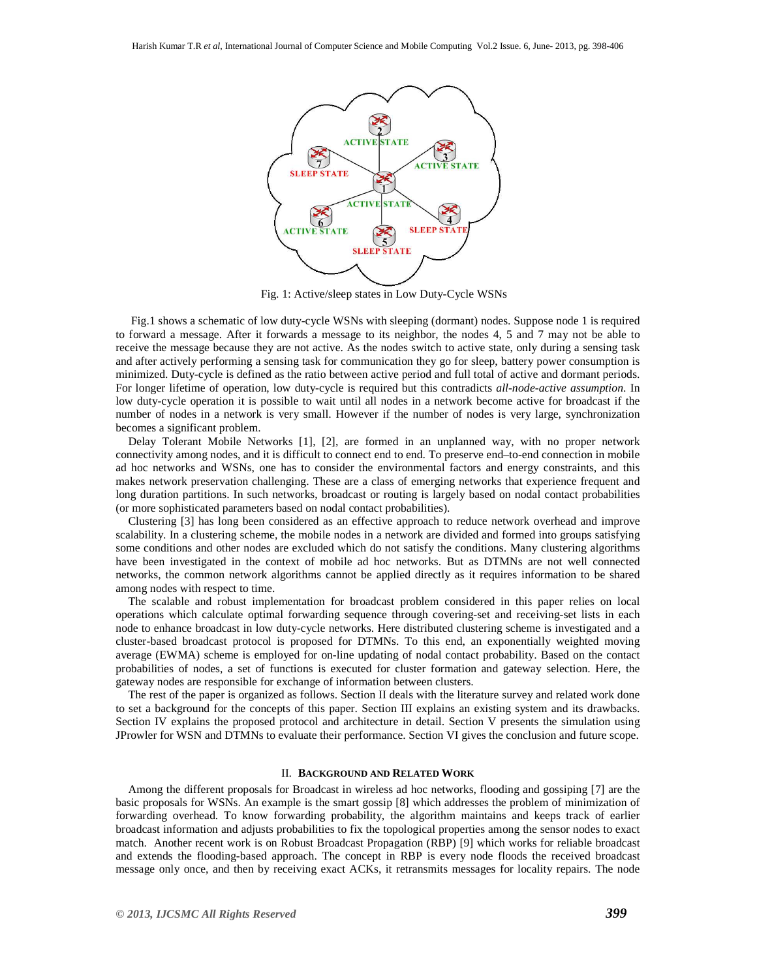

Fig. 1: Active/sleep states in Low Duty-Cycle WSNs

 Fig.1 shows a schematic of low duty-cycle WSNs with sleeping (dormant) nodes. Suppose node 1 is required to forward a message. After it forwards a message to its neighbor, the nodes 4, 5 and 7 may not be able to receive the message because they are not active. As the nodes switch to active state, only during a sensing task and after actively performing a sensing task for communication they go for sleep, battery power consumption is minimized. Duty-cycle is defined as the ratio between active period and full total of active and dormant periods. For longer lifetime of operation, low duty-cycle is required but this contradicts *all-node-active assumption*. In low duty-cycle operation it is possible to wait until all nodes in a network become active for broadcast if the number of nodes in a network is very small. However if the number of nodes is very large, synchronization becomes a significant problem.

Delay Tolerant Mobile Networks [1], [2], are formed in an unplanned way, with no proper network connectivity among nodes, and it is difficult to connect end to end. To preserve end–to-end connection in mobile ad hoc networks and WSNs, one has to consider the environmental factors and energy constraints, and this makes network preservation challenging. These are a class of emerging networks that experience frequent and long duration partitions. In such networks, broadcast or routing is largely based on nodal contact probabilities (or more sophisticated parameters based on nodal contact probabilities).

Clustering [3] has long been considered as an effective approach to reduce network overhead and improve scalability. In a clustering scheme, the mobile nodes in a network are divided and formed into groups satisfying some conditions and other nodes are excluded which do not satisfy the conditions. Many clustering algorithms have been investigated in the context of mobile ad hoc networks. But as DTMNs are not well connected networks, the common network algorithms cannot be applied directly as it requires information to be shared among nodes with respect to time.

The scalable and robust implementation for broadcast problem considered in this paper relies on local operations which calculate optimal forwarding sequence through covering-set and receiving-set lists in each node to enhance broadcast in low duty-cycle networks. Here distributed clustering scheme is investigated and a cluster-based broadcast protocol is proposed for DTMNs. To this end, an exponentially weighted moving average (EWMA) scheme is employed for on-line updating of nodal contact probability. Based on the contact probabilities of nodes, a set of functions is executed for cluster formation and gateway selection. Here, the gateway nodes are responsible for exchange of information between clusters.

The rest of the paper is organized as follows. Section II deals with the literature survey and related work done to set a background for the concepts of this paper. Section III explains an existing system and its drawbacks. Section IV explains the proposed protocol and architecture in detail. Section V presents the simulation using JProwler for WSN and DTMNs to evaluate their performance. Section VI gives the conclusion and future scope.

#### II. **BACKGROUND AND RELATED WORK**

Among the different proposals for Broadcast in wireless ad hoc networks, flooding and gossiping [7] are the basic proposals for WSNs. An example is the smart gossip [8] which addresses the problem of minimization of forwarding overhead. To know forwarding probability, the algorithm maintains and keeps track of earlier broadcast information and adjusts probabilities to fix the topological properties among the sensor nodes to exact match. Another recent work is on Robust Broadcast Propagation (RBP) [9] which works for reliable broadcast and extends the flooding-based approach. The concept in RBP is every node floods the received broadcast message only once, and then by receiving exact ACKs, it retransmits messages for locality repairs. The node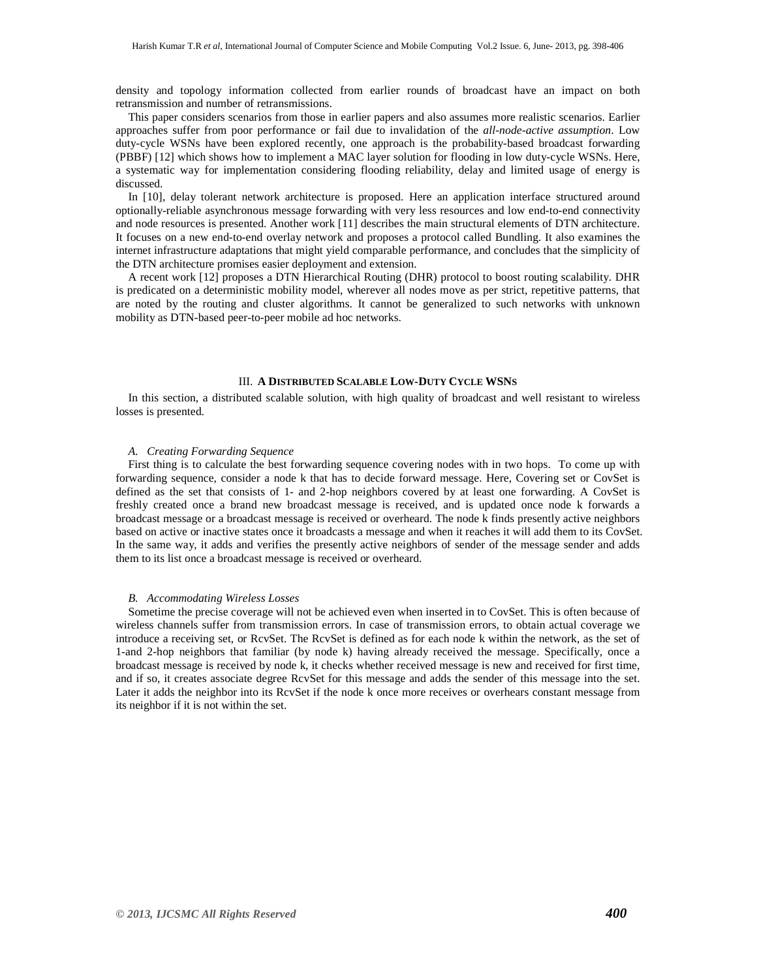density and topology information collected from earlier rounds of broadcast have an impact on both retransmission and number of retransmissions.

This paper considers scenarios from those in earlier papers and also assumes more realistic scenarios. Earlier approaches suffer from poor performance or fail due to invalidation of the *all-node-active assumption*. Low duty-cycle WSNs have been explored recently, one approach is the probability-based broadcast forwarding (PBBF) [12] which shows how to implement a MAC layer solution for flooding in low duty-cycle WSNs. Here, a systematic way for implementation considering flooding reliability, delay and limited usage of energy is discussed.

In [10], delay tolerant network architecture is proposed. Here an application interface structured around optionally-reliable asynchronous message forwarding with very less resources and low end-to-end connectivity and node resources is presented. Another work [11] describes the main structural elements of DTN architecture. It focuses on a new end-to-end overlay network and proposes a protocol called Bundling. It also examines the internet infrastructure adaptations that might yield comparable performance, and concludes that the simplicity of the DTN architecture promises easier deployment and extension.

A recent work [12] proposes a DTN Hierarchical Routing (DHR) protocol to boost routing scalability. DHR is predicated on a deterministic mobility model, wherever all nodes move as per strict, repetitive patterns, that are noted by the routing and cluster algorithms. It cannot be generalized to such networks with unknown mobility as DTN-based peer-to-peer mobile ad hoc networks.

#### III. **A DISTRIBUTED SCALABLE LOW-DUTY CYCLE WSNS**

In this section, a distributed scalable solution, with high quality of broadcast and well resistant to wireless losses is presented.

#### *A. Creating Forwarding Sequence*

First thing is to calculate the best forwarding sequence covering nodes with in two hops. To come up with forwarding sequence, consider a node k that has to decide forward message. Here, Covering set or CovSet is defined as the set that consists of 1- and 2-hop neighbors covered by at least one forwarding. A CovSet is freshly created once a brand new broadcast message is received, and is updated once node k forwards a broadcast message or a broadcast message is received or overheard. The node k finds presently active neighbors based on active or inactive states once it broadcasts a message and when it reaches it will add them to its CovSet. In the same way, it adds and verifies the presently active neighbors of sender of the message sender and adds them to its list once a broadcast message is received or overheard.

#### *B. Accommodating Wireless Losses*

Sometime the precise coverage will not be achieved even when inserted in to CovSet. This is often because of wireless channels suffer from transmission errors. In case of transmission errors, to obtain actual coverage we introduce a receiving set, or RcvSet. The RcvSet is defined as for each node k within the network, as the set of 1-and 2-hop neighbors that familiar (by node k) having already received the message. Specifically, once a broadcast message is received by node k, it checks whether received message is new and received for first time, and if so, it creates associate degree RcvSet for this message and adds the sender of this message into the set. Later it adds the neighbor into its RcvSet if the node k once more receives or overhears constant message from its neighbor if it is not within the set.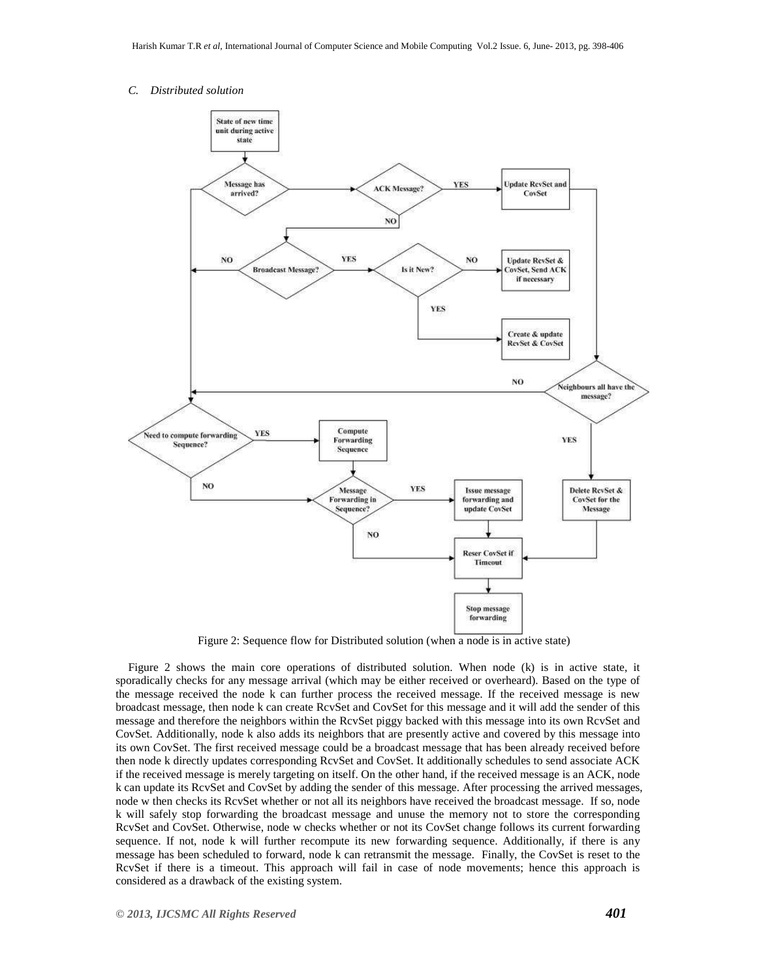# *C. Distributed solution*



Figure 2: Sequence flow for Distributed solution (when a node is in active state)

Figure 2 shows the main core operations of distributed solution. When node (k) is in active state, it sporadically checks for any message arrival (which may be either received or overheard). Based on the type of the message received the node k can further process the received message. If the received message is new broadcast message, then node k can create RcvSet and CovSet for this message and it will add the sender of this message and therefore the neighbors within the RcvSet piggy backed with this message into its own RcvSet and CovSet. Additionally, node k also adds its neighbors that are presently active and covered by this message into its own CovSet. The first received message could be a broadcast message that has been already received before then node k directly updates corresponding RcvSet and CovSet. It additionally schedules to send associate ACK if the received message is merely targeting on itself. On the other hand, if the received message is an ACK, node k can update its RcvSet and CovSet by adding the sender of this message. After processing the arrived messages, node w then checks its RcvSet whether or not all its neighbors have received the broadcast message. If so, node k will safely stop forwarding the broadcast message and unuse the memory not to store the corresponding RcvSet and CovSet. Otherwise, node w checks whether or not its CovSet change follows its current forwarding sequence. If not, node k will further recompute its new forwarding sequence. Additionally, if there is any message has been scheduled to forward, node k can retransmit the message. Finally, the CovSet is reset to the RcvSet if there is a timeout. This approach will fail in case of node movements; hence this approach is considered as a drawback of the existing system.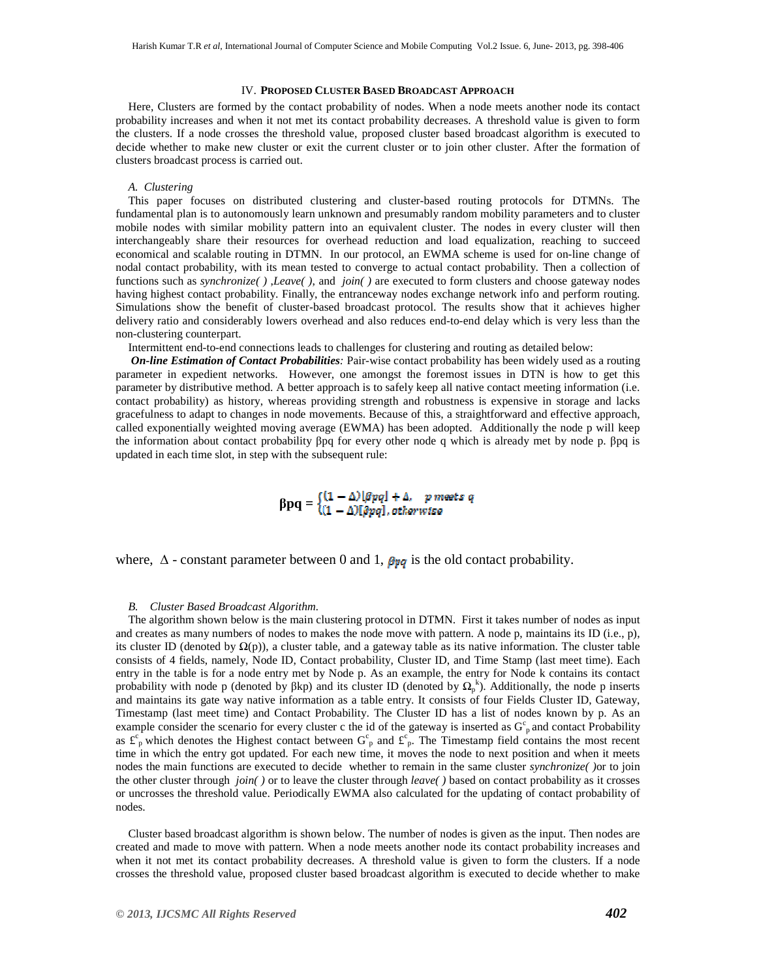#### IV. **PROPOSED CLUSTER BASED BROADCAST APPROACH**

Here, Clusters are formed by the contact probability of nodes. When a node meets another node its contact probability increases and when it not met its contact probability decreases. A threshold value is given to form the clusters. If a node crosses the threshold value, proposed cluster based broadcast algorithm is executed to decide whether to make new cluster or exit the current cluster or to join other cluster. After the formation of clusters broadcast process is carried out.

#### *A. Clustering*

This paper focuses on distributed clustering and cluster-based routing protocols for DTMNs. The fundamental plan is to autonomously learn unknown and presumably random mobility parameters and to cluster mobile nodes with similar mobility pattern into an equivalent cluster. The nodes in every cluster will then interchangeably share their resources for overhead reduction and load equalization, reaching to succeed economical and scalable routing in DTMN. In our protocol, an EWMA scheme is used for on-line change of nodal contact probability, with its mean tested to converge to actual contact probability. Then a collection of functions such as *synchronize( )* ,*Leave( )*, and *join( )* are executed to form clusters and choose gateway nodes having highest contact probability. Finally, the entranceway nodes exchange network info and perform routing. Simulations show the benefit of cluster-based broadcast protocol. The results show that it achieves higher delivery ratio and considerably lowers overhead and also reduces end-to-end delay which is very less than the non-clustering counterpart.

Intermittent end-to-end connections leads to challenges for clustering and routing as detailed below:

 *On-line Estimation of Contact Probabilities:* Pair-wise contact probability has been widely used as a routing parameter in expedient networks. However, one amongst the foremost issues in DTN is how to get this parameter by distributive method. A better approach is to safely keep all native contact meeting information (i.e. contact probability) as history, whereas providing strength and robustness is expensive in storage and lacks gracefulness to adapt to changes in node movements. Because of this, a straightforward and effective approach, called exponentially weighted moving average (EWMA) has been adopted. Additionally the node p will keep the information about contact probability βpq for every other node q which is already met by node p. βpq is updated in each time slot, in step with the subsequent rule:

 $\beta pq = \begin{cases} (1-\Delta)[\beta pq] + \Delta, & p \textit{meats } q \\ (1-\Delta)[\beta pq], otherwise \end{cases}$ 

where,  $\Delta$  - constant parameter between 0 and 1,  $\beta_{pq}$  is the old contact probability.

#### *B. Cluster Based Broadcast Algorithm.*

The algorithm shown below is the main clustering protocol in DTMN. First it takes number of nodes as input and creates as many numbers of nodes to makes the node move with pattern. A node p, maintains its ID (i.e., p), its cluster ID (denoted by  $\Omega(p)$ ), a cluster table, and a gateway table as its native information. The cluster table consists of 4 fields, namely, Node ID, Contact probability, Cluster ID, and Time Stamp (last meet time). Each entry in the table is for a node entry met by Node p. As an example, the entry for Node k contains its contact probability with node p (denoted by  $\beta$ kp) and its cluster ID (denoted by  $\Omega_p^k$ ). Additionally, the node p inserts and maintains its gate way native information as a table entry. It consists of four Fields Cluster ID, Gateway, Timestamp (last meet time) and Contact Probability. The Cluster ID has a list of nodes known by p. As an example consider the scenario for every cluster c the id of the gateway is inserted as  $G_p^c$  and contact Probability as  $f_{\rm p}^{\rm c}$  which denotes the Highest contact between  $G_{\rm p}^{\rm c}$  and  $f_{\rm p}^{\rm c}$ . The Timestamp field contains the most recent time in which the entry got updated. For each new time, it moves the node to next position and when it meets nodes the main functions are executed to decide whether to remain in the same cluster *synchronize( )*or to join the other cluster through *join( )* or to leave the cluster through *leave( )* based on contact probability as it crosses or uncrosses the threshold value. Periodically EWMA also calculated for the updating of contact probability of nodes.

Cluster based broadcast algorithm is shown below. The number of nodes is given as the input. Then nodes are created and made to move with pattern. When a node meets another node its contact probability increases and when it not met its contact probability decreases. A threshold value is given to form the clusters. If a node crosses the threshold value, proposed cluster based broadcast algorithm is executed to decide whether to make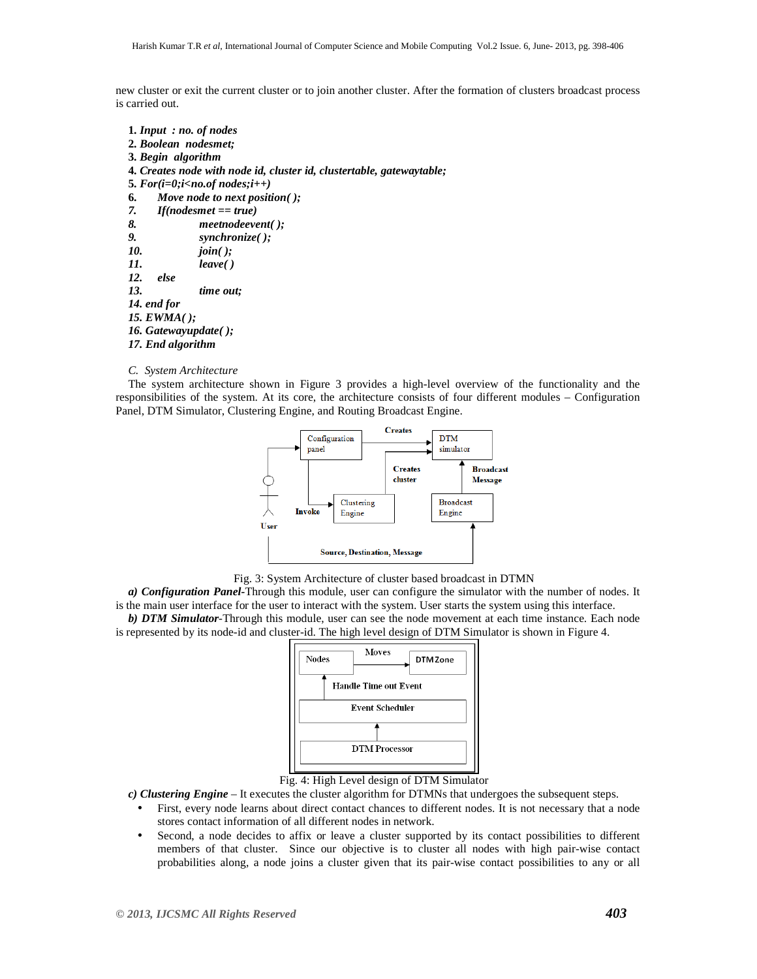new cluster or exit the current cluster or to join another cluster. After the formation of clusters broadcast process is carried out.

```
1. Input : no. of nodes 
2. Boolean nodesmet; 
3. Begin algorithm 
4. Creates node with node id, cluster id, clustertable, gatewaytable; 
5. For(i=0;i<no.of nodes;i++) 
6. Move node to next position( ); 
7. If(nodesmet == true) 
8. meetnodeevent( ); 
9. synchronize( ); 
10. join( ); 
11. leave( ) 
12. else 
13. time out; 
14. end for 
15. EWMA( ); 
16. Gatewayupdate( ); 
17. End algorithm
```
#### *C. System Architecture*

The system architecture shown in Figure 3 provides a high-level overview of the functionality and the responsibilities of the system. At its core, the architecture consists of four different modules – Configuration Panel, DTM Simulator, Clustering Engine, and Routing Broadcast Engine.



Fig. 3: System Architecture of cluster based broadcast in DTMN

*a) Configuration Panel-*Through this module, user can configure the simulator with the number of nodes. It is the main user interface for the user to interact with the system. User starts the system using this interface. *b) DTM Simulator*-Through this module, user can see the node movement at each time instance. Each node is represented by its node-id and cluster-id. The high level design of DTM Simulator is shown in Figure 4.



Fig. 4: High Level design of DTM Simulator

*c) Clustering Engine* – It executes the cluster algorithm for DTMNs that undergoes the subsequent steps.

- First, every node learns about direct contact chances to different nodes. It is not necessary that a node stores contact information of all different nodes in network.
- Second, a node decides to affix or leave a cluster supported by its contact possibilities to different members of that cluster. Since our objective is to cluster all nodes with high pair-wise contact probabilities along, a node joins a cluster given that its pair-wise contact possibilities to any or all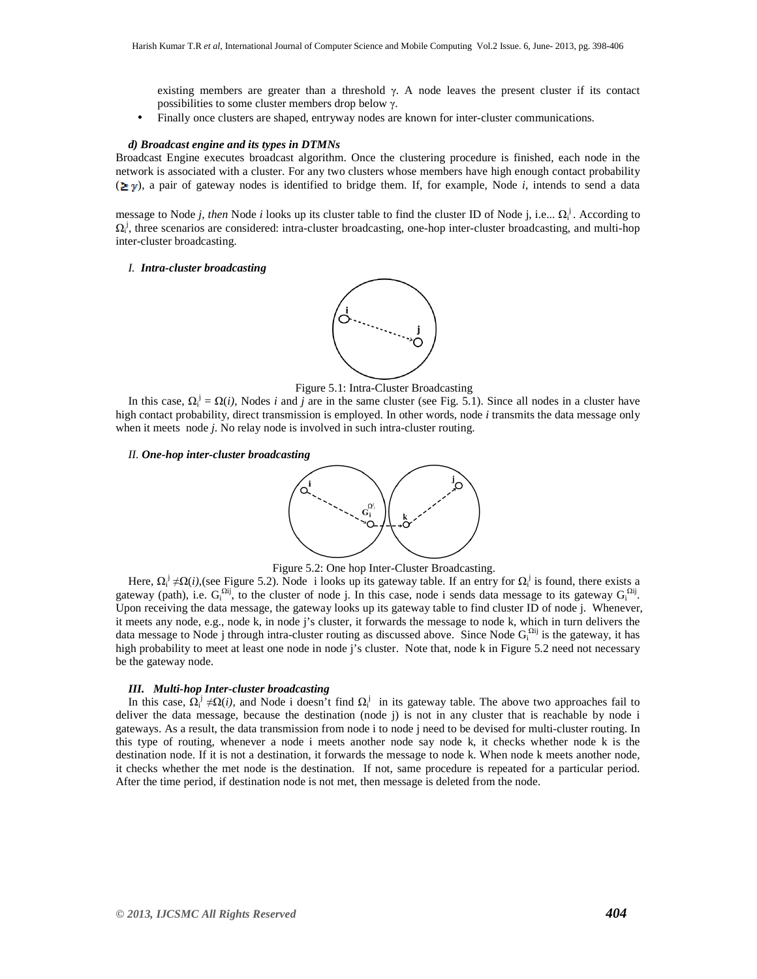existing members are greater than a threshold  $\gamma$ . A node leaves the present cluster if its contact possibilities to some cluster members drop below γ.

• Finally once clusters are shaped, entryway nodes are known for inter-cluster communications.

#### *d) Broadcast engine and its types in DTMNs*

Broadcast Engine executes broadcast algorithm. Once the clustering procedure is finished, each node in the network is associated with a cluster. For any two clusters whose members have high enough contact probability  $(\geq y)$ , a pair of gateway nodes is identified to bridge them. If, for example, Node *i*, intends to send a data

message to Node *j, then* Node *i* looks up its cluster table to find the cluster ID of Node j, i.e... Ω<sup>*i*</sup>. According to  $\Omega_i^j$ , three scenarios are considered: intra-cluster broadcasting, one-hop inter-cluster broadcasting, and multi-hop inter-cluster broadcasting.

#### *I. Intra-cluster broadcasting*





In this case,  $\Omega_i^j = \Omega(i)$ , Nodes *i* and *j* are in the same cluster (see Fig. 5.1). Since all nodes in a cluster have high contact probability, direct transmission is employed. In other words, node *i* transmits the data message only when it meets node *j*. No relay node is involved in such intra-cluster routing.

#### *II. One-hop inter-cluster broadcasting*



Figure 5.2: One hop Inter-Cluster Broadcasting.

Here,  $\Omega_i^j \neq \Omega(i)$ , (see Figure 5.2). Node i looks up its gateway table. If an entry for  $\Omega_i^j$  is found, there exists a gateway (path), i.e.  $G_i^{\Omega ij}$ , to the cluster of node j. In this case, node i sends data message to its gateway  $G_i^{\Omega ij}$ . Upon receiving the data message, the gateway looks up its gateway table to find cluster ID of node j. Whenever, it meets any node, e.g., node k, in node j's cluster, it forwards the message to node k, which in turn delivers the data message to Node j through intra-cluster routing as discussed above. Since Node  $G_i^{\Omega ij}$  is the gateway, it has high probability to meet at least one node in node j's cluster. Note that, node k in Figure 5.2 need not necessary be the gateway node.

# *III. Multi-hop Inter-cluster broadcasting*

In this case,  $\Omega_i^j \neq \Omega(i)$ , and Node i doesn't find  $\Omega_i^j$  in its gateway table. The above two approaches fail to deliver the data message, because the destination (node j) is not in any cluster that is reachable by node i gateways. As a result, the data transmission from node i to node j need to be devised for multi-cluster routing. In this type of routing, whenever a node i meets another node say node k, it checks whether node k is the destination node. If it is not a destination, it forwards the message to node k. When node k meets another node, it checks whether the met node is the destination. If not, same procedure is repeated for a particular period. After the time period, if destination node is not met, then message is deleted from the node.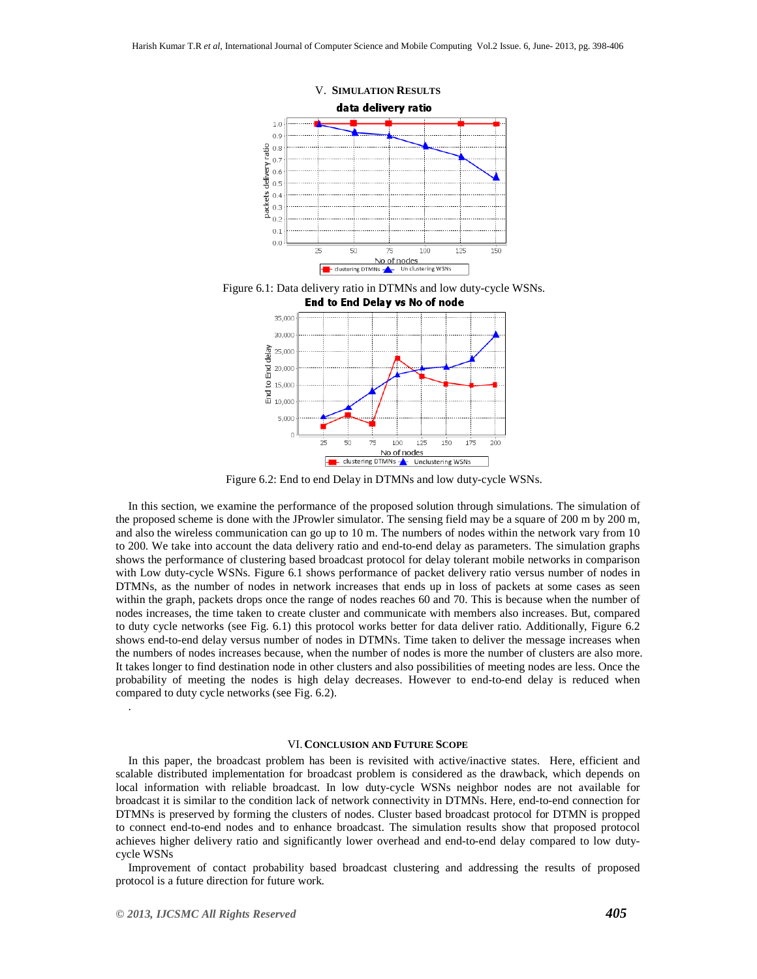

Figure 6.1: Data delivery ratio in DTMNs and low duty-cycle WSNs.



Figure 6.2: End to end Delay in DTMNs and low duty-cycle WSNs.

In this section, we examine the performance of the proposed solution through simulations. The simulation of the proposed scheme is done with the JProwler simulator. The sensing field may be a square of 200 m by 200 m, and also the wireless communication can go up to 10 m. The numbers of nodes within the network vary from 10 to 200. We take into account the data delivery ratio and end-to-end delay as parameters. The simulation graphs shows the performance of clustering based broadcast protocol for delay tolerant mobile networks in comparison with Low duty-cycle WSNs. Figure 6.1 shows performance of packet delivery ratio versus number of nodes in DTMNs, as the number of nodes in network increases that ends up in loss of packets at some cases as seen within the graph, packets drops once the range of nodes reaches 60 and 70. This is because when the number of nodes increases, the time taken to create cluster and communicate with members also increases. But, compared to duty cycle networks (see Fig. 6.1) this protocol works better for data deliver ratio. Additionally, Figure 6.2 shows end-to-end delay versus number of nodes in DTMNs. Time taken to deliver the message increases when the numbers of nodes increases because, when the number of nodes is more the number of clusters are also more. It takes longer to find destination node in other clusters and also possibilities of meeting nodes are less. Once the probability of meeting the nodes is high delay decreases. However to end-to-end delay is reduced when compared to duty cycle networks (see Fig. 6.2).

#### VI. **CONCLUSION AND FUTURE SCOPE**

In this paper, the broadcast problem has been is revisited with active/inactive states. Here, efficient and scalable distributed implementation for broadcast problem is considered as the drawback, which depends on local information with reliable broadcast. In low duty-cycle WSNs neighbor nodes are not available for broadcast it is similar to the condition lack of network connectivity in DTMNs. Here, end-to-end connection for DTMNs is preserved by forming the clusters of nodes. Cluster based broadcast protocol for DTMN is propped to connect end-to-end nodes and to enhance broadcast. The simulation results show that proposed protocol achieves higher delivery ratio and significantly lower overhead and end-to-end delay compared to low dutycycle WSNs

Improvement of contact probability based broadcast clustering and addressing the results of proposed protocol is a future direction for future work.

.